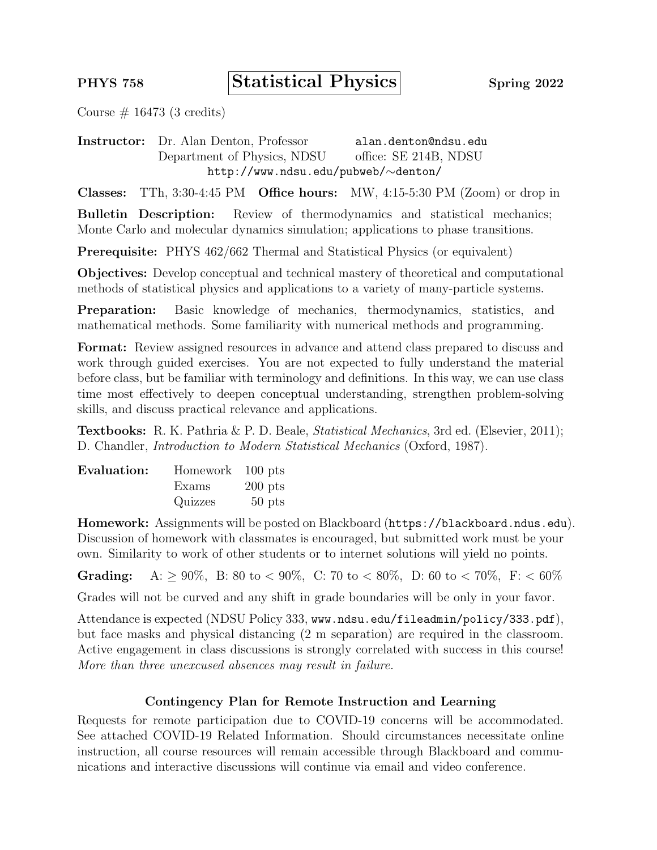PHYS 758 Statistical Physics Spring 2022

Course  $\#$  16473 (3 credits)

Instructor: Dr. Alan Denton, Professor alan.denton@ndsu.edu Department of Physics, NDSU office: SE 214B, NDSU http://www.ndsu.edu/pubweb/∼denton/

Classes: TTh, 3:30-4:45 PM Office hours: MW, 4:15-5:30 PM (Zoom) or drop in

Bulletin Description: Review of thermodynamics and statistical mechanics; Monte Carlo and molecular dynamics simulation; applications to phase transitions.

Prerequisite: PHYS 462/662 Thermal and Statistical Physics (or equivalent)

Objectives: Develop conceptual and technical mastery of theoretical and computational methods of statistical physics and applications to a variety of many-particle systems.

Preparation: Basic knowledge of mechanics, thermodynamics, statistics, and mathematical methods. Some familiarity with numerical methods and programming.

Format: Review assigned resources in advance and attend class prepared to discuss and work through guided exercises. You are not expected to fully understand the material before class, but be familiar with terminology and definitions. In this way, we can use class time most effectively to deepen conceptual understanding, strengthen problem-solving skills, and discuss practical relevance and applications.

Textbooks: R. K. Pathria & P. D. Beale, Statistical Mechanics, 3rd ed. (Elsevier, 2011); D. Chandler, Introduction to Modern Statistical Mechanics (Oxford, 1987).

| Evaluation: | Homework 100 pts |           |
|-------------|------------------|-----------|
|             | Exams            | $200$ pts |
|             | Quizzes          | $50$ pts  |

Homework: Assignments will be posted on Blackboard (https://blackboard.ndus.edu). Discussion of homework with classmates is encouraged, but submitted work must be your own. Similarity to work of other students or to internet solutions will yield no points.

**Grading:** A:  $\geq 90\%$ , B: 80 to < 90%, C: 70 to < 80%, D: 60 to < 70%, F: < 60%

Grades will not be curved and any shift in grade boundaries will be only in your favor.

Attendance is expected (NDSU Policy 333, www.ndsu.edu/fileadmin/policy/333.pdf), but face masks and physical distancing (2 m separation) are required in the classroom. Active engagement in class discussions is strongly correlated with success in this course! More than three unexcused absences may result in failure.

## Contingency Plan for Remote Instruction and Learning

Requests for remote participation due to COVID-19 concerns will be accommodated. See attached COVID-19 Related Information. Should circumstances necessitate online instruction, all course resources will remain accessible through Blackboard and communications and interactive discussions will continue via email and video conference.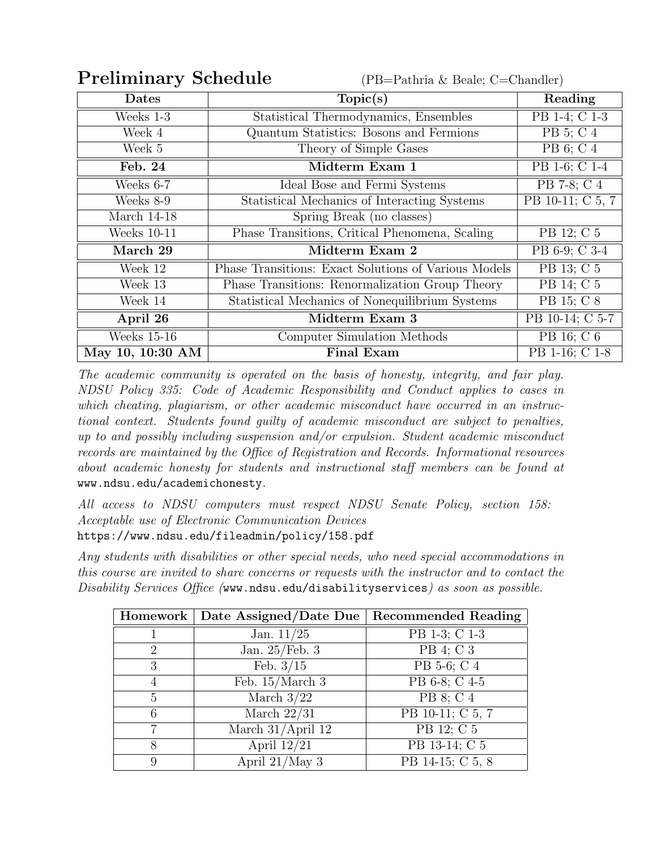**Preliminary Schedule** (PB=Pathria & Beale; C=Chandler)

| <b>Dates</b>                  | Topic(s)                                             | Reading          |
|-------------------------------|------------------------------------------------------|------------------|
| $\overline{\text{Weeks}}$ 1-3 | Statistical Thermodynamics, Ensembles                | PB 1-4; C 1-3    |
| $\overline{\text{Week}}$ 4    | Quantum Statistics: Bosons and Fermions              | PB 5; C 4        |
| Week 5                        | Theory of Simple Gases                               | PB 6; C 4        |
| Feb. 24                       | Midterm Exam 1                                       | PB 1-6; C 1-4    |
| Weeks 6-7                     | Ideal Bose and Fermi Systems                         | PB 7-8; C 4      |
| Weeks 8-9                     | Statistical Mechanics of Interacting Systems         | PB 10-11; C 5, 7 |
| March 14-18                   | Spring Break (no classes)                            |                  |
| Weeks 10-11                   | Phase Transitions, Critical Phenomena, Scaling       | PB 12; C 5       |
| March 29                      | Midterm Exam 2                                       | PB 6-9; C 3-4    |
| Week 12                       | Phase Transitions: Exact Solutions of Various Models | PB 13; C 5       |
| Week 13                       | Phase Transitions: Renormalization Group Theory      | PB 14; C 5       |
| Week 14                       | Statistical Mechanics of Nonequilibrium Systems      | PB 15; C 8       |
| April 26                      | Midterm Exam 3                                       | PB 10-14; C 5-7  |
| <b>Weeks</b> 15-16            | Computer Simulation Methods                          | PB 16; C 6       |
| May 10, 10:30 AM              | <b>Final Exam</b>                                    | PB 1-16; C 1-8   |

The academic community is operated on the basis of honesty, integrity, and fair play. NDSU Policy 335: Code of Academic Responsibility and Conduct applies to cases in which cheating, plagiarism, or other academic misconduct have occurred in an instructional context. Students found guilty of academic misconduct are subject to penalties, up to and possibly including suspension and/or expulsion. Student academic misconduct records are maintained by the Office of Registration and Records. Informational resources about academic honesty for students and instructional staff members can be found at www.ndsu.edu/academichonesty.

All access to NDSU computers must respect NDSU Senate Policy, section 158: Acceptable use of Electronic Communication Devices https://www.ndsu.edu/fileadmin/policy/158.pdf

Any students with disabilities or other special needs, who need special accommodations in this course are invited to share concerns or requests with the instructor and to contact the Disability Services Office (www.ndsu.edu/disabilityservices) as soon as possible.

| Homework | Date Assigned/Date Due | Recommended Reading |
|----------|------------------------|---------------------|
|          | Jan. $11/25$           | PB 1-3; C 1-3       |
| 2        | Jan. $25$ /Feb. 3      | PB 4; C 3           |
| 3        | Feb. $3/15$            | PB 5-6; C 4         |
|          | Feb. $15/March$ 3      | PB 6-8; C 4-5       |
| 5        | March $3/22$           | PB 8; C 4           |
| 6        | March $22/31$          | PB 10-11; C 5, 7    |
|          | March $31/April$ 12    | PB 12; C 5          |
| 8        | April $12/21$          | PB 13-14; C 5       |
| 9        | April $21/May$ 3       | PB 14-15; C 5, 8    |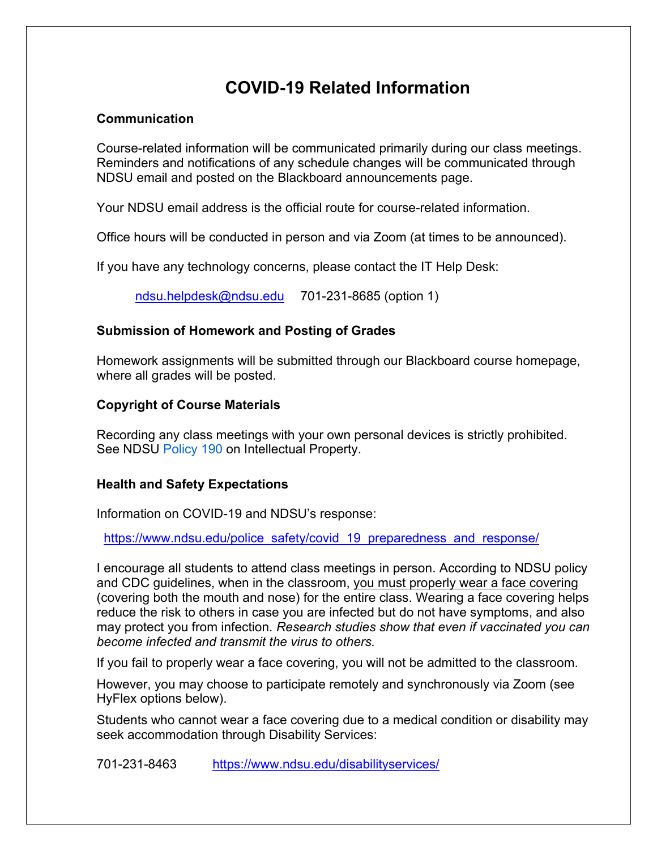# **COVID-19 Related Information**

# **Communication**

Course-related information will be communicated primarily during our class meetings. Reminders and notifications of any schedule changes will be communicated through NDSU email and posted on the Blackboard announcements page.

Your NDSU email address is the official route for course-related information.

Office hours will be conducted in person and via Zoom (at times to be announced).

If you have any technology concerns, please contact the IT Help Desk:

ndsu.helpdesk@ndsu.edu 701-231-8685 (option 1)

# **Submission of Homework and Posting of Grades**

Homework assignments will be submitted through our Blackboard course homepage, where all grades will be posted.

# **Copyright of Course Materials**

Recording any class meetings with your own personal devices is strictly prohibited. See NDSU Policy 190 on Intellectual Property.

# **Health and Safety Expectations**

Information on COVID-19 and NDSU's response:

https://www.ndsu.edu/police\_safety/covid\_19\_preparedness\_and\_response/

I encourage all students to attend class meetings in person. According to NDSU policy and CDC guidelines, when in the classroom, you must properly wear a face covering (covering both the mouth and nose) for the entire class. Wearing a face covering helps reduce the risk to others in case you are infected but do not have symptoms, and also may protect you from infection. *Research studies show that even if vaccinated you can become infected and transmit the virus to others.*

If you fail to properly wear a face covering, you will not be admitted to the classroom.

However, you may choose to participate remotely and synchronously via Zoom (see HyFlex options below).

Students who cannot wear a face covering due to a medical condition or disability may seek accommodation through Disability Services:

701-231-8463 https://www.ndsu.edu/disabilityservices/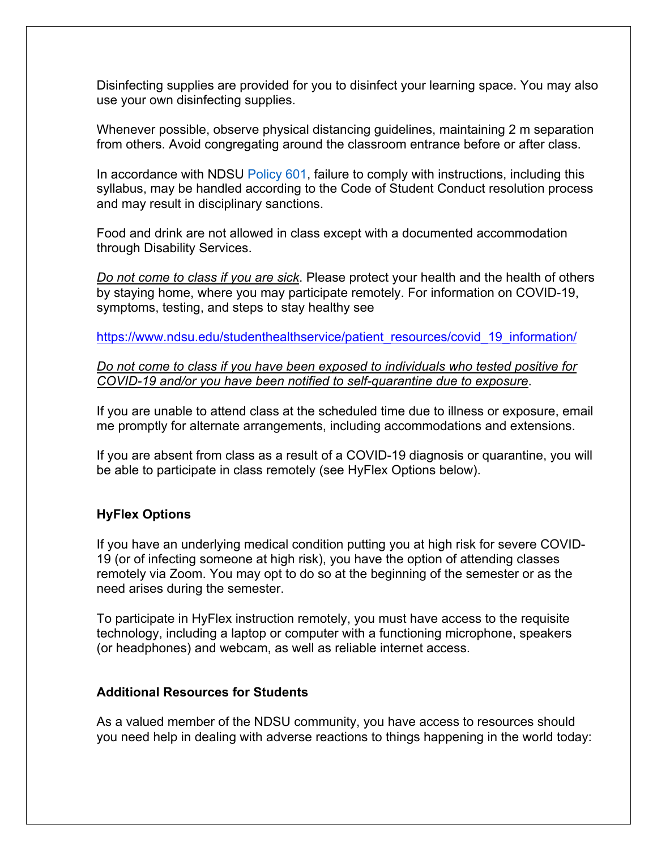Disinfecting supplies are provided for you to disinfect your learning space. You may also use your own disinfecting supplies.

Whenever possible, observe physical distancing guidelines, maintaining 2 m separation from others. Avoid congregating around the classroom entrance before or after class.

In accordance with NDSU Policy 601, failure to comply with instructions, including this syllabus, may be handled according to the Code of Student Conduct resolution process and may result in disciplinary sanctions.

Food and drink are not allowed in class except with a documented accommodation through Disability Services.

*Do not come to class if you are sick*. Please protect your health and the health of others by staying home, where you may participate remotely. For information on COVID-19, symptoms, testing, and steps to stay healthy see

https://www.ndsu.edu/studenthealthservice/patient\_resources/covid\_19\_information/

*Do not come to class if you have been exposed to individuals who tested positive for COVID-19 and/or you have been notified to self-quarantine due to exposure*.

If you are unable to attend class at the scheduled time due to illness or exposure, email me promptly for alternate arrangements, including accommodations and extensions.

If you are absent from class as a result of a COVID-19 diagnosis or quarantine, you will be able to participate in class remotely (see HyFlex Options below).

## **HyFlex Options**

If you have an underlying medical condition putting you at high risk for severe COVID-19 (or of infecting someone at high risk), you have the option of attending classes remotely via Zoom. You may opt to do so at the beginning of the semester or as the need arises during the semester.

To participate in HyFlex instruction remotely, you must have access to the requisite technology, including a laptop or computer with a functioning microphone, speakers (or headphones) and webcam, as well as reliable internet access.

## **Additional Resources for Students**

As a valued member of the NDSU community, you have access to resources should you need help in dealing with adverse reactions to things happening in the world today: